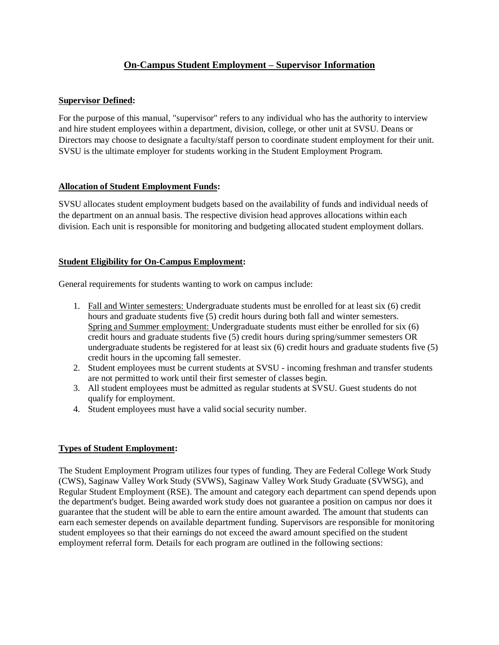# **On-Campus Student Employment – Supervisor Information**

# **Supervisor Defined:**

For the purpose of this manual, "supervisor" refers to any individual who has the authority to interview and hire student employees within a department, division, college, or other unit at SVSU. Deans or Directors may choose to designate a faculty/staff person to coordinate student employment for their unit. SVSU is the ultimate employer for students working in the Student Employment Program.

# **Allocation of Student Employment Funds:**

SVSU allocates student employment budgets based on the availability of funds and individual needs of the department on an annual basis. The respective division head approves allocations within each division. Each unit is responsible for monitoring and budgeting allocated student employment dollars.

# **Student Eligibility for On-Campus Employment:**

General requirements for students wanting to work on campus include:

- 1. Fall and Winter semesters: Undergraduate students must be enrolled for at least six (6) credit hours and graduate students five (5) credit hours during both fall and winter semesters. Spring and Summer employment: Undergraduate students must either be enrolled for six (6) credit hours and graduate students five (5) credit hours during spring/summer semesters OR undergraduate students be registered for at least six (6) credit hours and graduate students five (5) credit hours in the upcoming fall semester.
- 2. Student employees must be current students at SVSU incoming freshman and transfer students are not permitted to work until their first semester of classes begin.
- 3. All student employees must be admitted as regular students at SVSU. Guest students do not qualify for employment.
- 4. Student employees must have a valid social security number.

# **Types of Student Employment:**

The Student Employment Program utilizes four types of funding. They are Federal College Work Study (CWS), Saginaw Valley Work Study (SVWS), Saginaw Valley Work Study Graduate (SVWSG), and Regular Student Employment (RSE). The amount and category each department can spend depends upon the department's budget. Being awarded work study does not guarantee a position on campus nor does it guarantee that the student will be able to earn the entire amount awarded. The amount that students can earn each semester depends on available department funding. Supervisors are responsible for monitoring student employees so that their earnings do not exceed the award amount specified on the student employment referral form. Details for each program are outlined in the following sections: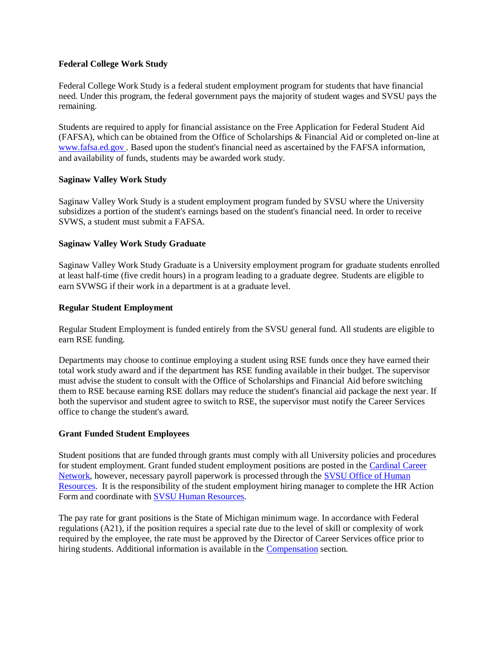### **Federal College Work Study**

Federal College Work Study is a federal student employment program for students that have financial need. Under this program, the federal government pays the majority of student wages and SVSU pays the remaining.

Students are required to apply for financial assistance on the Free Application for Federal Student Aid (FAFSA), which can be obtained from the Office of Scholarships & Financial Aid or completed on-line at [www.fafsa.ed.gov .](http://www.fafsa.ed.gov/) Based upon the student's financial need as ascertained by the FAFSA information, and availability of funds, students may be awarded work study.

### **Saginaw Valley Work Study**

Saginaw Valley Work Study is a student employment program funded by SVSU where the University subsidizes a portion of the student's earnings based on the student's financial need. In order to receive SVWS, a student must submit a FAFSA.

### **Saginaw Valley Work Study Graduate**

Saginaw Valley Work Study Graduate is a University employment program for graduate students enrolled at least half-time (five credit hours) in a program leading to a graduate degree. Students are eligible to earn SVWSG if their work in a department is at a graduate level.

### **Regular Student Employment**

Regular Student Employment is funded entirely from the SVSU general fund. All students are eligible to earn RSE funding.

Departments may choose to continue employing a student using RSE funds once they have earned their total work study award and if the department has RSE funding available in their budget. The supervisor must advise the student to consult with the Office of Scholarships and Financial Aid before switching them to RSE because earning RSE dollars may reduce the student's financial aid package the next year. If both the supervisor and student agree to switch to RSE, the supervisor must notify the Career Services office to change the student's award.

### **Grant Funded Student Employees**

Student positions that are funded through grants must comply with all University policies and procedures for student employment. Grant funded student employment positions are posted in the [Cardinal Career](https://svsu-csm.symplicity.com/)  [Network,](https://svsu-csm.symplicity.com/) however, necessary payroll paperwork is processed through the [SVSU Office of Human](http://svsu.edu/hr/)  [Resources.](http://svsu.edu/hr/) It is the responsibility of the student employment hiring manager to complete the HR Action Form and coordinate with [SVSU Human Resources.](http://svsu.edu/hr/)

The pay rate for grant positions is the State of Michigan minimum wage. In accordance with Federal regulations (A21), if the position requires a special rate due to the level of skill or complexity of work required by the employee, the rate must be approved by the Director of Career Services office prior to hiring students. Additional information is available in the [Compensation](http://www.svsu.edu/careerservices/oncampusstudentemployment/supervisorinfo/compensation/) section.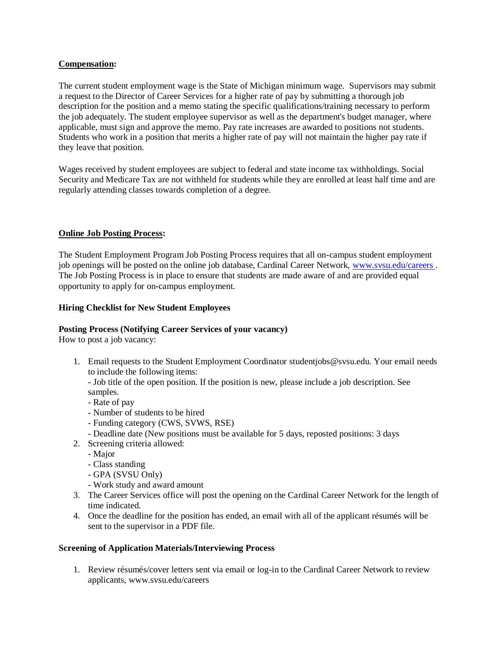### **Compensation:**

The current student employment wage is the State of Michigan minimum wage. Supervisors may submit a request to the Director of Career Services for a higher rate of pay by submitting a thorough job description for the position and a memo stating the specific qualifications/training necessary to perform the job adequately. The student employee supervisor as well as the department's budget manager, where applicable, must sign and approve the memo. Pay rate increases are awarded to positions not students. Students who work in a position that merits a higher rate of pay will not maintain the higher pay rate if they leave that position.

Wages received by student employees are subject to federal and state income tax withholdings. Social Security and Medicare Tax are not withheld for students while they are enrolled at least half time and are regularly attending classes towards completion of a degree.

### **Online Job Posting Process:**

The Student Employment Program Job Posting Process requires that all on-campus student employment job openings will be posted on the online job database, Cardinal Career Network, [www.svsu.edu/careers .](http://www.svsu.edu/careerservices/) The Job Posting Process is in place to ensure that students are made aware of and are provided equal opportunity to apply for on-campus employment.

#### **Hiring Checklist for New Student Employees**

#### **Posting Process (Notifying Career Services of your vacancy)**

How to post a job vacancy:

1. Email requests to the Student Employment Coordinator studentjobs@svsu.edu. Your email needs to include the following items:

- Job title of the open position. If the position is new, please include a job description. See samples.

- Rate of pay
- Number of students to be hired
- Funding category (CWS, SVWS, RSE)
- Deadline date (New positions must be available for 5 days, reposted positions: 3 days
- 2. Screening criteria allowed:
	- Major
	- Class standing
	- GPA (SVSU Only)
	- Work study and award amount
- 3. The Career Services office will post the opening on the Cardinal Career Network for the length of time indicated.
- 4. Once the deadline for the position has ended, an email with all of the applicant résumés will be sent to the supervisor in a PDF file.

#### **Screening of Application Materials/Interviewing Process**

1. Review résumés/cover letters sent via email or log-in to the Cardinal Career Network to review applicants, www.svsu.edu/careers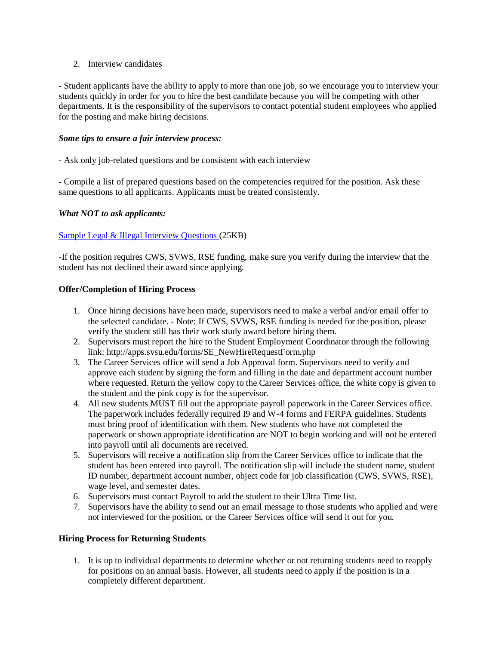### 2. Interview candidates

- Student applicants have the ability to apply to more than one job, so we encourage you to interview your students quickly in order for you to hire the best candidate because you will be competing with other departments. It is the responsibility of the supervisors to contact potential student employees who applied for the posting and make hiring decisions.

### *Some tips to ensure a fair interview process:*

- Ask only job-related questions and be consistent with each interview

- Compile a list of prepared questions based on the competencies required for the position. Ask these same questions to all applicants. Applicants must be treated consistently.

## *What NOT to ask applicants:*

## [Sample Legal & Illegal Interview Questions \(](http://www.svsu.edu/media/careerservices/docs/careerservicespdf/careerservicesdocs/Legal_and_Illegal_Interview_Questions.doc)25KB)

-If the position requires CWS, SVWS, RSE funding, make sure you verify during the interview that the student has not declined their award since applying.

## **Offer/Completion of Hiring Process**

- 1. Once hiring decisions have been made, supervisors need to make a verbal and/or email offer to the selected candidate. - Note: If CWS, SVWS, RSE funding is needed for the position, please verify the student still has their work study award before hiring them.
- 2. Supervisors must report the hire to the Student Employment Coordinator through the following link: http://apps.svsu.edu/forms/SE\_NewHireRequestForm.php
- 3. The Career Services office will send a Job Approval form. Supervisors need to verify and approve each student by signing the form and filling in the date and department account number where requested. Return the yellow copy to the Career Services office, the white copy is given to the student and the pink copy is for the supervisor.
- 4. All new students MUST fill out the appropriate payroll paperwork in the Career Services office. The paperwork includes federally required I9 and W-4 forms and FERPA guidelines. Students must bring proof of identification with them. New students who have not completed the paperwork or shown appropriate identification are NOT to begin working and will not be entered into payroll until all documents are received.
- 5. Supervisors will receive a notification slip from the Career Services office to indicate that the student has been entered into payroll. The notification slip will include the student name, student ID number, department account number, object code for job classification (CWS, SVWS, RSE), wage level, and semester dates.
- 6. Supervisors must contact Payroll to add the student to their Ultra Time list.
- 7. Supervisors have the ability to send out an email message to those students who applied and were not interviewed for the position, or the Career Services office will send it out for you.

### **Hiring Process for Returning Students**

1. It is up to individual departments to determine whether or not returning students need to reapply for positions on an annual basis. However, all students need to apply if the position is in a completely different department.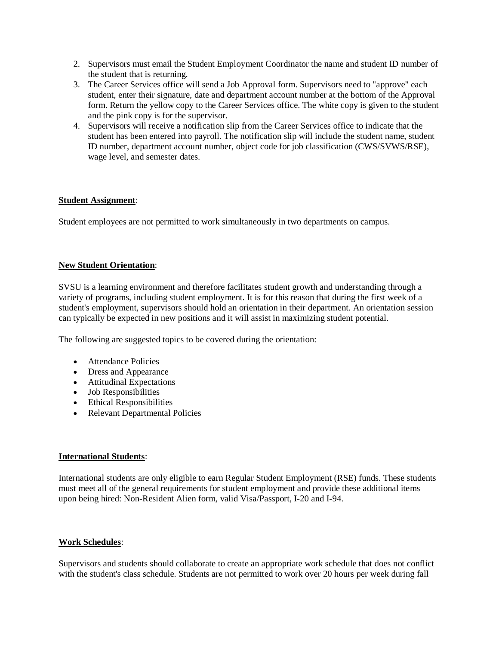- 2. Supervisors must email the Student Employment Coordinator the name and student ID number of the student that is returning.
- 3. The Career Services office will send a Job Approval form. Supervisors need to "approve" each student, enter their signature, date and department account number at the bottom of the Approval form. Return the yellow copy to the Career Services office. The white copy is given to the student and the pink copy is for the supervisor.
- 4. Supervisors will receive a notification slip from the Career Services office to indicate that the student has been entered into payroll. The notification slip will include the student name, student ID number, department account number, object code for job classification (CWS/SVWS/RSE), wage level, and semester dates.

## **Student Assignment**:

Student employees are not permitted to work simultaneously in two departments on campus.

### **New Student Orientation**:

SVSU is a learning environment and therefore facilitates student growth and understanding through a variety of programs, including student employment. It is for this reason that during the first week of a student's employment, supervisors should hold an orientation in their department. An orientation session can typically be expected in new positions and it will assist in maximizing student potential.

The following are suggested topics to be covered during the orientation:

- Attendance Policies
- Dress and Appearance
- Attitudinal Expectations
- Job Responsibilities
- Ethical Responsibilities
- Relevant Departmental Policies

### **International Students**:

International students are only eligible to earn Regular Student Employment (RSE) funds. These students must meet all of the general requirements for student employment and provide these additional items upon being hired: Non-Resident Alien form, valid Visa/Passport, I-20 and I-94.

### **Work Schedules**:

Supervisors and students should collaborate to create an appropriate work schedule that does not conflict with the student's class schedule. Students are not permitted to work over 20 hours per week during fall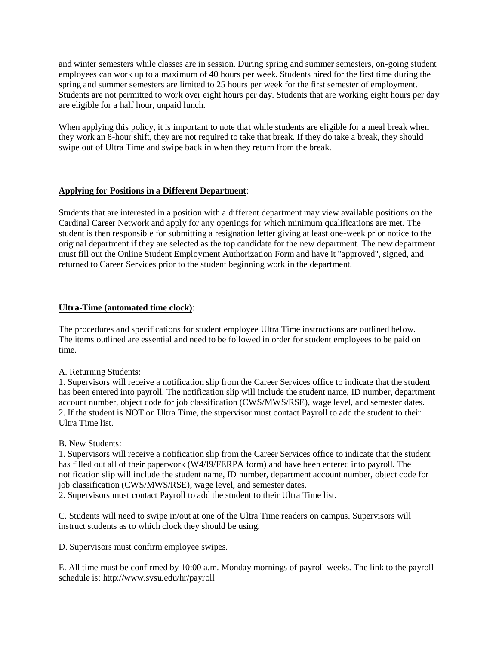and winter semesters while classes are in session. During spring and summer semesters, on-going student employees can work up to a maximum of 40 hours per week. Students hired for the first time during the spring and summer semesters are limited to 25 hours per week for the first semester of employment. Students are not permitted to work over eight hours per day. Students that are working eight hours per day are eligible for a half hour, unpaid lunch.

When applying this policy, it is important to note that while students are eligible for a meal break when they work an 8-hour shift, they are not required to take that break. If they do take a break, they should swipe out of Ultra Time and swipe back in when they return from the break.

## **Applying for Positions in a Different Department**:

Students that are interested in a position with a different department may view available positions on the Cardinal Career Network and apply for any openings for which minimum qualifications are met. The student is then responsible for submitting a resignation letter giving at least one-week prior notice to the original department if they are selected as the top candidate for the new department. The new department must fill out the Online Student Employment Authorization Form and have it "approved", signed, and returned to Career Services prior to the student beginning work in the department.

## **Ultra-Time (automated time clock)**:

The procedures and specifications for student employee Ultra Time instructions are outlined below. The items outlined are essential and need to be followed in order for student employees to be paid on time.

A. Returning Students:

1. Supervisors will receive a notification slip from the Career Services office to indicate that the student has been entered into payroll. The notification slip will include the student name, ID number, department account number, object code for job classification (CWS/MWS/RSE), wage level, and semester dates. 2. If the student is NOT on Ultra Time, the supervisor must contact Payroll to add the student to their Ultra Time list.

B. New Students:

1. Supervisors will receive a notification slip from the Career Services office to indicate that the student has filled out all of their paperwork (W4/I9/FERPA form) and have been entered into payroll. The notification slip will include the student name, ID number, department account number, object code for job classification (CWS/MWS/RSE), wage level, and semester dates.

2. Supervisors must contact Payroll to add the student to their Ultra Time list.

C. Students will need to swipe in/out at one of the Ultra Time readers on campus. Supervisors will instruct students as to which clock they should be using.

D. Supervisors must confirm employee swipes.

E. All time must be confirmed by 10:00 a.m. Monday mornings of payroll weeks. The link to the payroll schedule is: http://www.svsu.edu/hr/payroll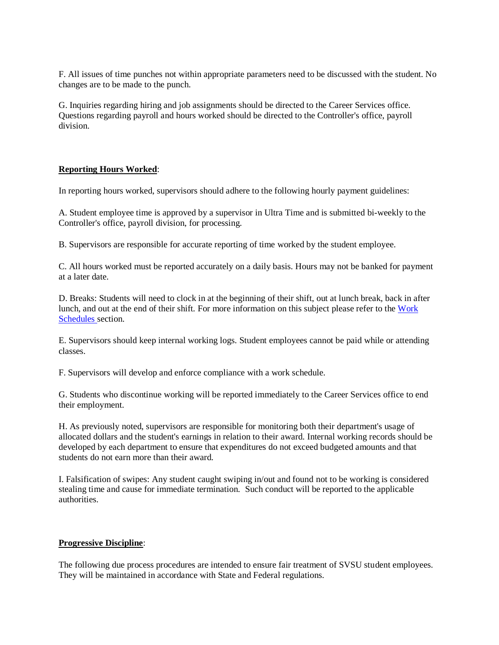F. All issues of time punches not within appropriate parameters need to be discussed with the student. No changes are to be made to the punch.

G. Inquiries regarding hiring and job assignments should be directed to the Career Services office. Questions regarding payroll and hours worked should be directed to the Controller's office, payroll division.

### **Reporting Hours Worked**:

In reporting hours worked, supervisors should adhere to the following hourly payment guidelines:

A. Student employee time is approved by a supervisor in Ultra Time and is submitted bi-weekly to the Controller's office, payroll division, for processing.

B. Supervisors are responsible for accurate reporting of time worked by the student employee.

C. All hours worked must be reported accurately on a daily basis. Hours may not be banked for payment at a later date.

D. Breaks: Students will need to clock in at the beginning of their shift, out at lunch break, back in after lunch, and out at the end of their shift. For more information on this subject please refer to the [Work](http://www.svsu.edu/careerservices/oncampusstudentemployment/supervisorinfo/workschedules/)  [Schedules s](http://www.svsu.edu/careerservices/oncampusstudentemployment/supervisorinfo/workschedules/)ection.

E. Supervisors should keep internal working logs. Student employees cannot be paid while or attending classes.

F. Supervisors will develop and enforce compliance with a work schedule.

G. Students who discontinue working will be reported immediately to the Career Services office to end their employment.

H. As previously noted, supervisors are responsible for monitoring both their department's usage of allocated dollars and the student's earnings in relation to their award. Internal working records should be developed by each department to ensure that expenditures do not exceed budgeted amounts and that students do not earn more than their award.

I. Falsification of swipes: Any student caught swiping in/out and found not to be working is considered stealing time and cause for immediate termination. Such conduct will be reported to the applicable authorities.

#### **Progressive Discipline**:

The following due process procedures are intended to ensure fair treatment of SVSU student employees. They will be maintained in accordance with State and Federal regulations.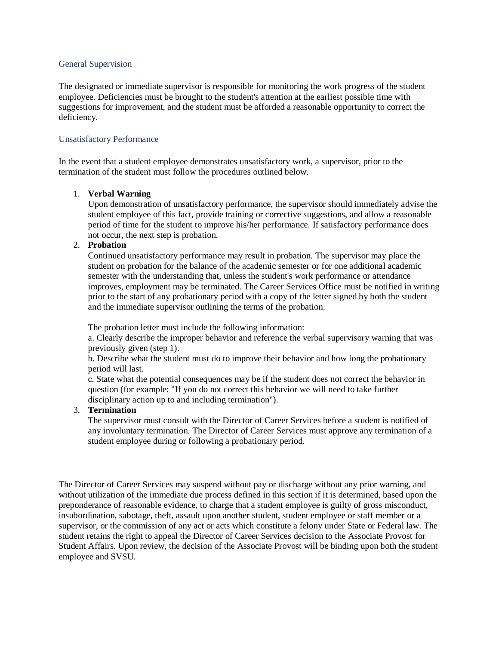#### General Supervision

The designated or immediate supervisor is responsible for monitoring the work progress of the student employee. Deficiencies must be brought to the student's attention at the earliest possible time with suggestions for improvement, and the student must be afforded a reasonable opportunity to correct the deficiency.

#### Unsatisfactory Performance

In the event that a student employee demonstrates unsatisfactory work, a supervisor, prior to the termination of the student must follow the procedures outlined below.

#### 1. **Verbal Warning**

Upon demonstration of unsatisfactory performance, the supervisor should immediately advise the student employee of this fact, provide training or corrective suggestions, and allow a reasonable period of time for the student to improve his/her performance. If satisfactory performance does not occur, the next step is probation.

### 2. **Probation**

Continued unsatisfactory performance may result in probation. The supervisor may place the student on probation for the balance of the academic semester or for one additional academic semester with the understanding that, unless the student's work performance or attendance improves, employment may be terminated. The Career Services Office must be notified in writing prior to the start of any probationary period with a copy of the letter signed by both the student and the immediate supervisor outlining the terms of the probation.

The probation letter must include the following information:

a. Clearly describe the improper behavior and reference the verbal supervisory warning that was previously given (step 1).

b. Describe what the student must do to improve their behavior and how long the probationary period will last.

c. State what the potential consequences may be if the student does not correct the behavior in question (for example: "If you do not correct this behavior we will need to take further disciplinary action up to and including termination").

#### 3. **Termination**

The supervisor must consult with the Director of Career Services before a student is notified of any involuntary termination. The Director of Career Services must approve any termination of a student employee during or following a probationary period.

The Director of Career Services may suspend without pay or discharge without any prior warning, and without utilization of the immediate due process defined in this section if it is determined, based upon the preponderance of reasonable evidence, to charge that a student employee is guilty of gross misconduct, insubordination, sabotage, theft, assault upon another student, student employee or staff member or a supervisor, or the commission of any act or acts which constitute a felony under State or Federal law. The student retains the right to appeal the Director of Career Services decision to the Associate Provost for Student Affairs. Upon review, the decision of the Associate Provost will be binding upon both the student employee and SVSU.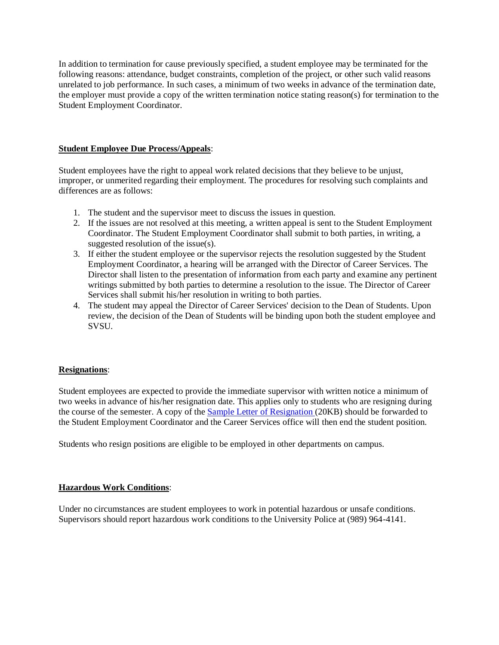In addition to termination for cause previously specified, a student employee may be terminated for the following reasons: attendance, budget constraints, completion of the project, or other such valid reasons unrelated to job performance. In such cases, a minimum of two weeks in advance of the termination date, the employer must provide a copy of the written termination notice stating reason(s) for termination to the Student Employment Coordinator.

## **Student Employee Due Process/Appeals**:

Student employees have the right to appeal work related decisions that they believe to be unjust, improper, or unmerited regarding their employment. The procedures for resolving such complaints and differences are as follows:

- 1. The student and the supervisor meet to discuss the issues in question.
- 2. If the issues are not resolved at this meeting, a written appeal is sent to the Student Employment Coordinator. The Student Employment Coordinator shall submit to both parties, in writing, a suggested resolution of the issue(s).
- 3. If either the student employee or the supervisor rejects the resolution suggested by the Student Employment Coordinator, a hearing will be arranged with the Director of Career Services. The Director shall listen to the presentation of information from each party and examine any pertinent writings submitted by both parties to determine a resolution to the issue. The Director of Career Services shall submit his/her resolution in writing to both parties.
- 4. The student may appeal the Director of Career Services' decision to the Dean of Students. Upon review, the decision of the Dean of Students will be binding upon both the student employee and SVSU.

# **Resignations**:

Student employees are expected to provide the immediate supervisor with written notice a minimum of two weeks in advance of his/her resignation date. This applies only to students who are resigning during the course of the semester. A copy of the **Sample Letter of Resignation** (20KB) should be forwarded to the Student Employment Coordinator and the Career Services office will then end the student position.

Students who resign positions are eligible to be employed in other departments on campus.

### **Hazardous Work Conditions**:

Under no circumstances are student employees to work in potential hazardous or unsafe conditions. Supervisors should report hazardous work conditions to the University Police at (989) 964-4141.